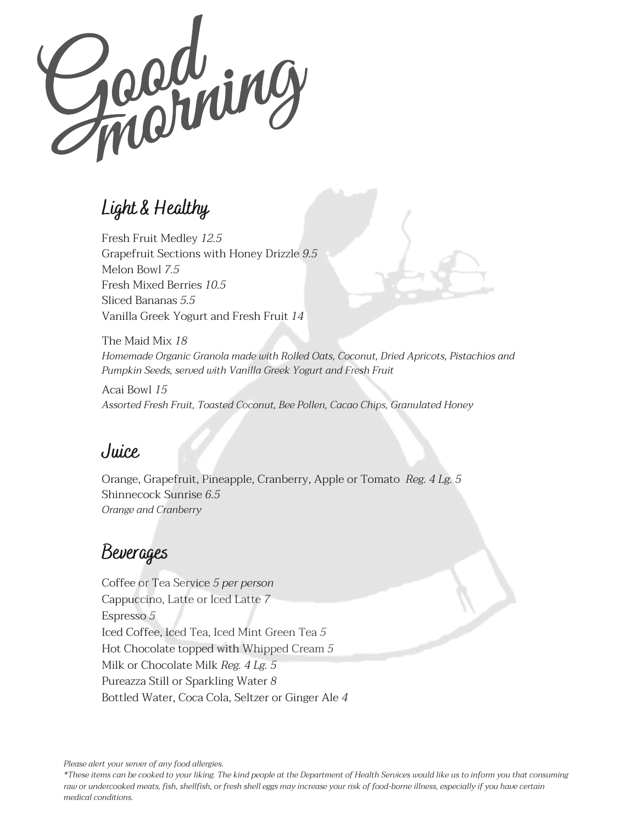Gooding

## **Light & Healthy**

Fresh Fruit Medley *12.5* Grapefruit Sections with Honey Drizzle *9.5* Melon Bowl *7.5* Fresh Mixed Berries *10.5* Sliced Bananas *5.5* Vanilla Greek Yogurt and Fresh Fruit *14*

The Maid Mix *18 Homemade Organic Granola made with Rolled Oats, Coconut, Dried Apricots, Pistachios and Pumpkin Seeds, served with Vanilla Greek Yogurt and Fresh Fruit*

Acai Bowl *15 Assorted Fresh Fruit, Toasted Coconut, Bee Pollen, Cacao Chips, Granulated Honey*

#### **Juice**

Orange, Grapefruit, Pineapple, Cranberry, Apple or Tomato *Reg. 4 Lg. 5* Shinnecock Sunrise *6.5 Orange and Cranberry*

# **Beverages**

Coffee or Tea Service *5 per person* Cappuccino, Latte or Iced Latte *7* Espresso *5* Iced Coffee, Iced Tea, Iced Mint Green Tea *5* Hot Chocolate topped with Whipped Cream *5* Milk or Chocolate Milk *Reg. 4 Lg. 5* Pureazza Still or Sparkling Water *8* Bottled Water, Coca Cola, Seltzer or Ginger Ale *4*

*Please alert your server of any food allergies.*

\*These items can be cooked to your liking. The kind people at the Department of Health Services would like us to inform you that consuming raw or undercooked meats, fish, shellfish, or fresh shell eggs may increase your risk of food-borne illness, especially if you have certain *medical conditions.*